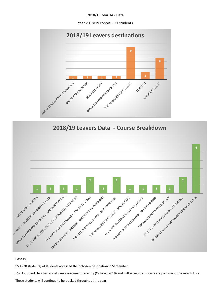2018/19 Year 14 - Data

Year 2018/19 cohort – 21 students







#### **Post 19**

95% (20 students) of students accessed their chosen destination in September.

5% (1 student) has had social care assessment recently (October 2019) and will access her social care package in the near future. These students will continue to be tracked throughout the year.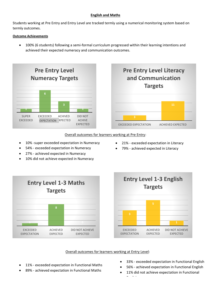# **English and Maths**

Students working at Pre Entry and Entry Level are tracked termly using a numerical monitoring system based on termly outcomes.

# **Outcome Achievements**

• 100% (6 students) following a semi-formal curriculum progressed within their learning intentions and achieved their expected numeracy and communication outcomes.





• 21% - exceeded expectation in Literacy • 79% - achieved expected in Literacy

## Overall outcomes for learners working at Pre Entry:

- 10% -super exceeded expectation in Numeracy
- 54% exceeded expectation in Numeracy
- 27% achieved expected in Numeracy
- 10% did not achieve expected in Numeracy





# Overall outcomes for learners working at Entry Level:

- 11% exceeded expectation in Functional Maths
- 89% achieved expectation in Functional Maths
- 33% exceeded expectation in Functional English
- 56% achieved expectation in Functional English
- 11% did not achieve expectation in Functional English